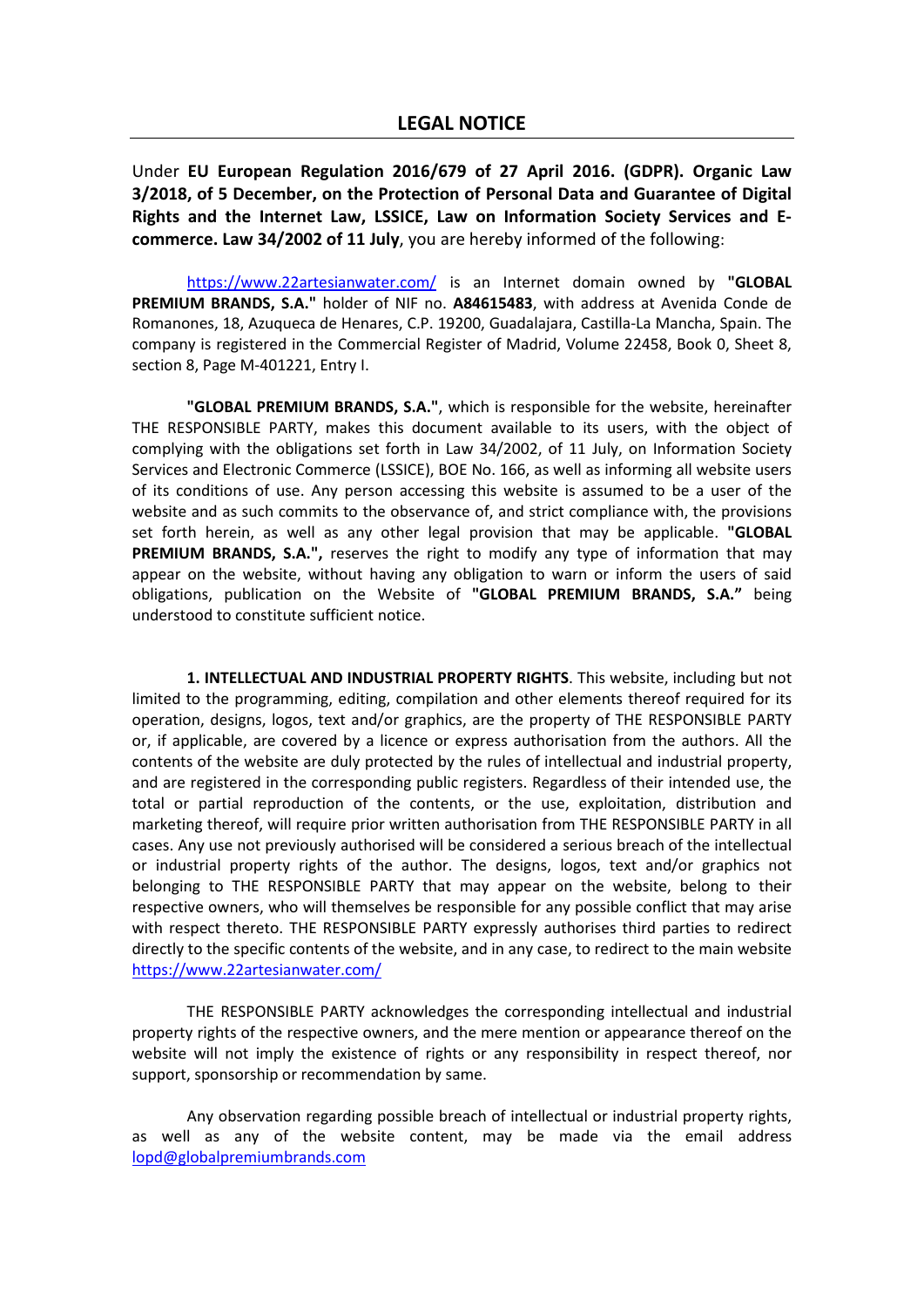# **LEGAL NOTICE**

Under **EU European Regulation 2016/679 of 27 April 2016. (GDPR). Organic Law 3/2018, of 5 December, on the Protection of Personal Data and Guarantee of Digital Rights and the Internet Law, LSSICE, Law on Information Society Services and Ecommerce. Law 34/2002 of 11 July**, you are hereby informed of the following:

<https://www.22artesianwater.com/> is an Internet domain owned by **"GLOBAL PREMIUM BRANDS, S.A."** holder of NIF no. **A84615483**, with address at Avenida Conde de Romanones, 18, Azuqueca de Henares, C.P. 19200, Guadalajara, Castilla-La Mancha, Spain. The company is registered in the Commercial Register of Madrid, Volume 22458, Book 0, Sheet 8, section 8, Page M-401221, Entry I.

**"GLOBAL PREMIUM BRANDS, S.A."**, which is responsible for the website, hereinafter THE RESPONSIBLE PARTY, makes this document available to its users, with the object of complying with the obligations set forth in Law 34/2002, of 11 July, on Information Society Services and Electronic Commerce (LSSICE), BOE No. 166, as well as informing all website users of its conditions of use. Any person accessing this website is assumed to be a user of the website and as such commits to the observance of, and strict compliance with, the provisions set forth herein, as well as any other legal provision that may be applicable. **"GLOBAL PREMIUM BRANDS, S.A.",** reserves the right to modify any type of information that may appear on the website, without having any obligation to warn or inform the users of said obligations, publication on the Website of **"GLOBAL PREMIUM BRANDS, S.A."** being understood to constitute sufficient notice.

**1. INTELLECTUAL AND INDUSTRIAL PROPERTY RIGHTS**. This website, including but not limited to the programming, editing, compilation and other elements thereof required for its operation, designs, logos, text and/or graphics, are the property of THE RESPONSIBLE PARTY or, if applicable, are covered by a licence or express authorisation from the authors. All the contents of the website are duly protected by the rules of intellectual and industrial property, and are registered in the corresponding public registers. Regardless of their intended use, the total or partial reproduction of the contents, or the use, exploitation, distribution and marketing thereof, will require prior written authorisation from THE RESPONSIBLE PARTY in all cases. Any use not previously authorised will be considered a serious breach of the intellectual or industrial property rights of the author. The designs, logos, text and/or graphics not belonging to THE RESPONSIBLE PARTY that may appear on the website, belong to their respective owners, who will themselves be responsible for any possible conflict that may arise with respect thereto. THE RESPONSIBLE PARTY expressly authorises third parties to redirect directly to the specific contents of the website, and in any case, to redirect to the main website <https://www.22artesianwater.com/>

THE RESPONSIBLE PARTY acknowledges the corresponding intellectual and industrial property rights of the respective owners, and the mere mention or appearance thereof on the website will not imply the existence of rights or any responsibility in respect thereof, nor support, sponsorship or recommendation by same.

Any observation regarding possible breach of intellectual or industrial property rights, as well as any of the website content, may be made via the email address [lopd@globalpremiumbrands.com](mailto:lopd@globalpremiumbrands.com)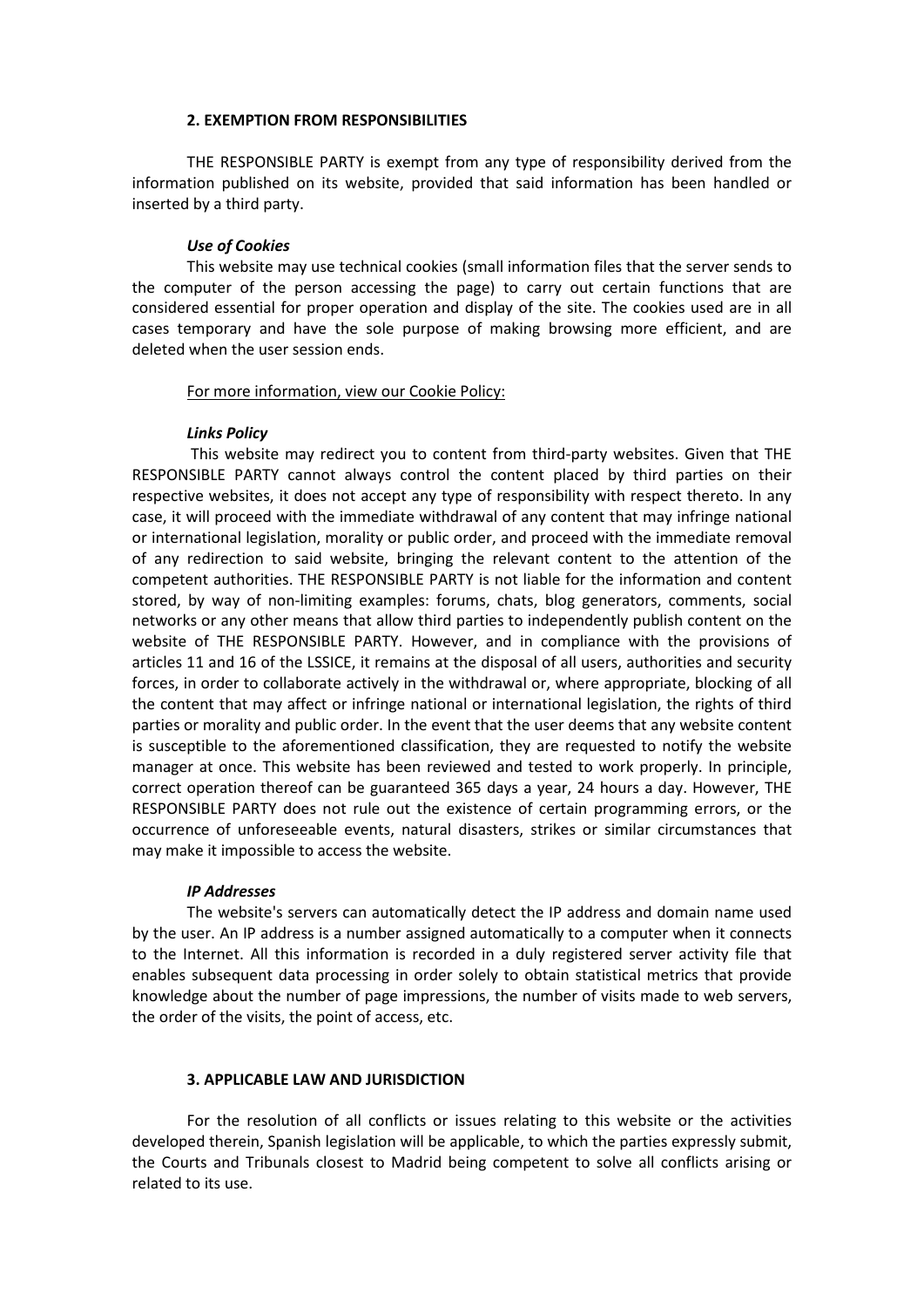### **2. EXEMPTION FROM RESPONSIBILITIES**

THE RESPONSIBLE PARTY is exempt from any type of responsibility derived from the information published on its website, provided that said information has been handled or inserted by a third party.

#### *Use of Cookies*

This website may use technical cookies (small information files that the server sends to the computer of the person accessing the page) to carry out certain functions that are considered essential for proper operation and display of the site. The cookies used are in all cases temporary and have the sole purpose of making browsing more efficient, and are deleted when the user session ends.

#### For more information, view our Cookie Policy:

## *Links Policy*

This website may redirect you to content from third-party websites. Given that THE RESPONSIBLE PARTY cannot always control the content placed by third parties on their respective websites, it does not accept any type of responsibility with respect thereto. In any case, it will proceed with the immediate withdrawal of any content that may infringe national or international legislation, morality or public order, and proceed with the immediate removal of any redirection to said website, bringing the relevant content to the attention of the competent authorities. THE RESPONSIBLE PARTY is not liable for the information and content stored, by way of non-limiting examples: forums, chats, blog generators, comments, social networks or any other means that allow third parties to independently publish content on the website of THE RESPONSIBLE PARTY. However, and in compliance with the provisions of articles 11 and 16 of the LSSICE, it remains at the disposal of all users, authorities and security forces, in order to collaborate actively in the withdrawal or, where appropriate, blocking of all the content that may affect or infringe national or international legislation, the rights of third parties or morality and public order. In the event that the user deems that any website content is susceptible to the aforementioned classification, they are requested to notify the website manager at once. This website has been reviewed and tested to work properly. In principle, correct operation thereof can be guaranteed 365 days a year, 24 hours a day. However, THE RESPONSIBLE PARTY does not rule out the existence of certain programming errors, or the occurrence of unforeseeable events, natural disasters, strikes or similar circumstances that may make it impossible to access the website.

#### *IP Addresses*

The website's servers can automatically detect the IP address and domain name used by the user. An IP address is a number assigned automatically to a computer when it connects to the Internet. All this information is recorded in a duly registered server activity file that enables subsequent data processing in order solely to obtain statistical metrics that provide knowledge about the number of page impressions, the number of visits made to web servers, the order of the visits, the point of access, etc.

## **3. APPLICABLE LAW AND JURISDICTION**

For the resolution of all conflicts or issues relating to this website or the activities developed therein, Spanish legislation will be applicable, to which the parties expressly submit, the Courts and Tribunals closest to Madrid being competent to solve all conflicts arising or related to its use.